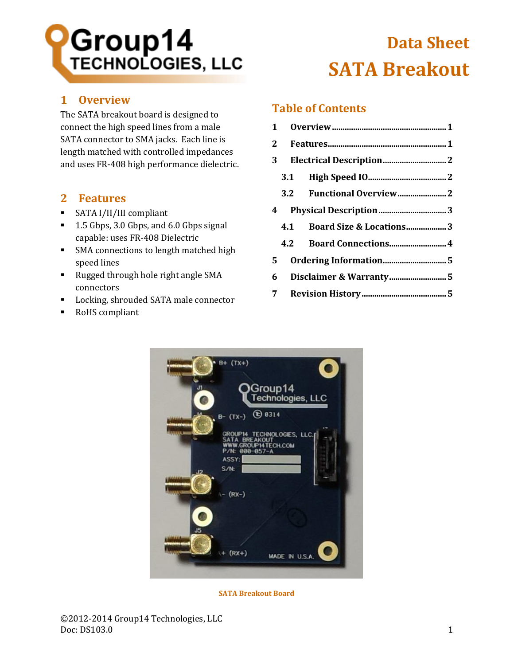# **Group14**<br>TECHNOLOGIES, LLC

# <span id="page-0-0"></span>**1 Overview**

The SATA breakout board is designed to connect the high speed lines from a male SATA connector to SMA jacks. Each line is length matched with controlled impedances and uses FR-408 high performance dielectric.

# <span id="page-0-1"></span>**2 Features**

- SATA I/II/III compliant
- 1.5 Gbps, 3.0 Gbps, and 6.0 Gbps signal capable: uses FR-408 Dielectric
- SMA connections to length matched high speed lines
- Rugged through hole right angle SMA connectors
- Locking, shrouded SATA male connector
- RoHS compliant

# **Data Sheet SATA Breakout**

# **Table of Contents**

| 3 <sup>7</sup>              |  |  |  |
|-----------------------------|--|--|--|
|                             |  |  |  |
|                             |  |  |  |
|                             |  |  |  |
| 4.1 Board Size & Locations3 |  |  |  |
|                             |  |  |  |
| 5                           |  |  |  |
|                             |  |  |  |
|                             |  |  |  |



**SATA Breakout Board**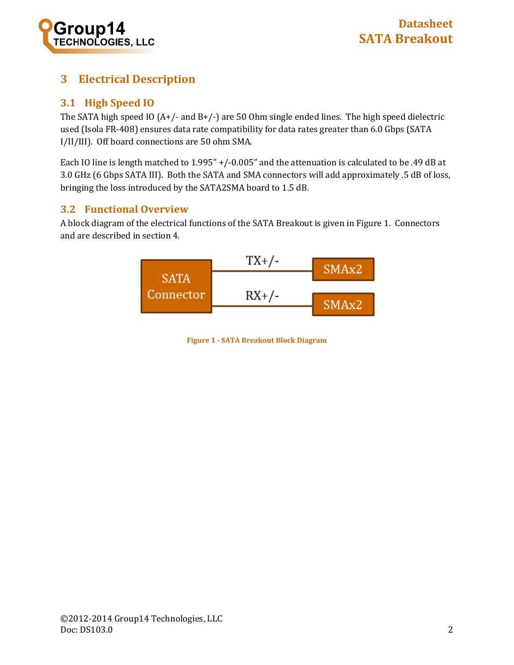

# <span id="page-1-0"></span>**3 Electrical Description**

#### <span id="page-1-1"></span>**3.1 High Speed IO**

The SATA high speed IO (A+/- and B+/-) are 50 Ohm single ended lines. The high speed dielectric used (Isola FR-408) ensures data rate compatibility for data rates greater than 6.0 Gbps (SATA I/II/III). Off board connections are 50 ohm SMA.

Each IO line is length matched to 1.995" +/-0.005" and the attenuation is calculated to be .49 dB at 3.0 GHz (6 Gbps SATA III). Both the SATA and SMA connectors will add approximately .5 dB of loss, bringing the loss introduced by the SATA2SMA board to 1.5 dB.

#### <span id="page-1-2"></span>**3.2 Functional Overview**

A block diagram of the electrical functions of the SATA Breakout is given i[n Figure 1.](#page-1-3) Connectors and are described in section [4.](#page-2-0)

<span id="page-1-3"></span>

**Figure 1 - SATA Breakout Block Diagram**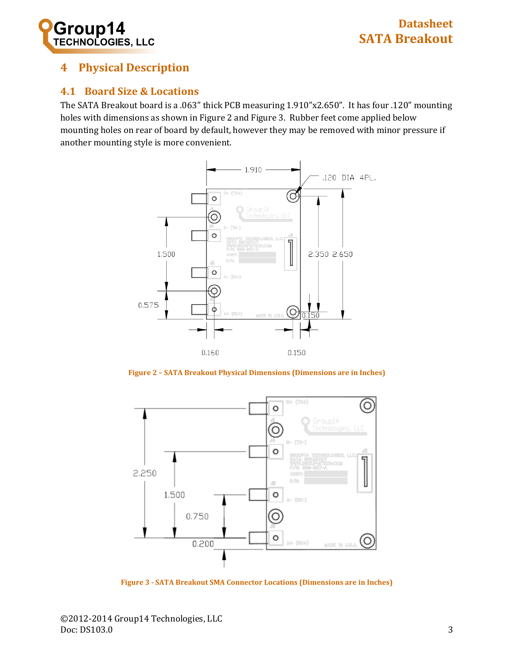

# <span id="page-2-0"></span>**4 Physical Description**

#### <span id="page-2-1"></span>**4.1 Board Size & Locations**

The SATA Breakout board is a .063" thick PCB measuring 1.910"x2.650". It has four .120" mounting holes with dimensions as shown in [Figure 2](#page-2-2) and [Figure 3.](#page-2-3) Rubber feet come applied below mounting holes on rear of board by default, however they may be removed with minor pressure if another mounting style is more convenient.



**Figure 2 – SATA Breakout Physical Dimensions (Dimensions are in Inches)**

<span id="page-2-2"></span>

<span id="page-2-3"></span>**Figure 3 - SATA Breakout SMA Connector Locations (Dimensions are in Inches)**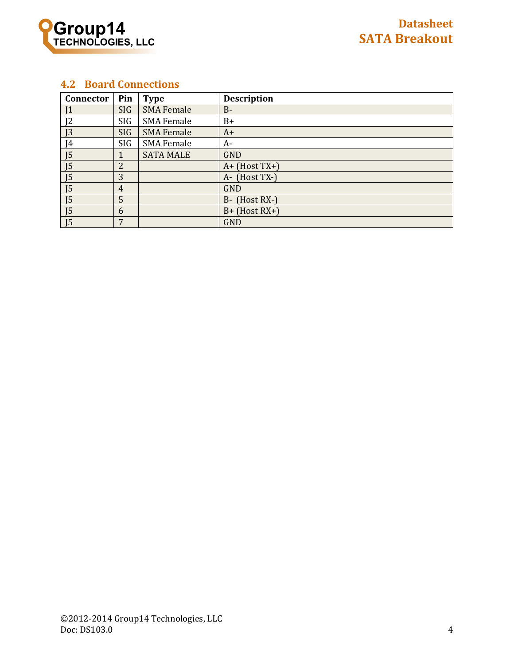

#### <span id="page-3-0"></span>**4.2 Board Connections**

| Connector      | Pin        | <b>Type</b>       | <b>Description</b> |
|----------------|------------|-------------------|--------------------|
| 1              | <b>SIG</b> | <b>SMA Female</b> | $B -$              |
| 12             | SIG        | <b>SMA Female</b> | B+                 |
| J <sub>3</sub> | SIG        | <b>SMA Female</b> | $A+$               |
| 4              | SIG        | <b>SMA Female</b> | A-                 |
| J <sub>5</sub> |            | <b>SATA MALE</b>  | <b>GND</b>         |
| J <sub>5</sub> | 2          |                   | $A+$ (Host TX+)    |
| J <sub>5</sub> | 3          |                   | A- (Host TX-)      |
| J <sub>5</sub> | 4          |                   | <b>GND</b>         |
| J <sub>5</sub> | 5          |                   | B- (Host RX-)      |
| J <sub>5</sub> | 6          |                   | $B+$ (Host RX+)    |
| 15             | 7          |                   | <b>GND</b>         |